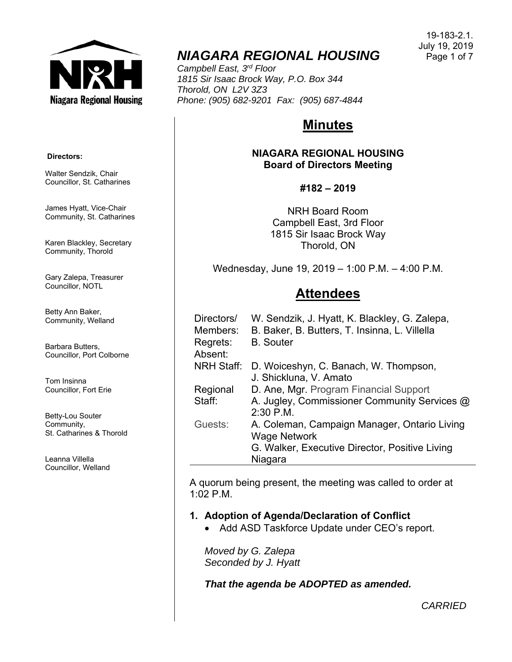

# *NIAGARA REGIONAL HOUSING*

*Campbell East, 3rd Floor 1815 Sir Isaac Brock Way, P.O. Box 344 Thorold, ON L2V 3Z3 Phone: (905) 682-9201 Fax: (905) 687-4844* 

# **Minutes**

**NIAGARA REGIONAL HOUSING Board of Directors Meeting** 

### **#182 – 2019**

NRH Board Room Campbell East, 3rd Floor 1815 Sir Isaac Brock Way Thorold, ON

Wednesday, June 19, 2019 – 1:00 P.M. – 4:00 P.M.

# **Attendees**

| Directors/<br>Members: | W. Sendzik, J. Hyatt, K. Blackley, G. Zalepa,<br>B. Baker, B. Butters, T. Insinna, L. Villella |
|------------------------|------------------------------------------------------------------------------------------------|
| Regrets:<br>Absent:    | <b>B.</b> Souter                                                                               |
| <b>NRH Staff:</b>      | D. Woiceshyn, C. Banach, W. Thompson,<br>J. Shickluna, V. Amato                                |
| Regional               | D. Ane, Mgr. Program Financial Support                                                         |
| Staff:                 | A. Jugley, Commissioner Community Services @<br>2:30 P.M.                                      |
| Guests:                | A. Coleman, Campaign Manager, Ontario Living                                                   |
|                        | <b>Wage Network</b>                                                                            |
|                        | G. Walker, Executive Director, Positive Living                                                 |
|                        | Niagara                                                                                        |

A quorum being present, the meeting was called to order at 1:02 P.M.

# **1. Adoption of Agenda/Declaration of Conflict**

• Add ASD Taskforce Update under CEO's report.

*Moved by G. Zalepa Seconded by J. Hyatt* 

*That the agenda be ADOPTED as amended.*

 **Directors:** 

Walter Sendzik, Chair Councillor, St. Catharines

James Hyatt, Vice-Chair Community, St. Catharines

Karen Blackley, Secretary Community, Thorold

Gary Zalepa, Treasurer Councillor, NOTL

Betty Ann Baker, Community, Welland

Barbara Butters, Councillor, Port Colborne

Tom Insinna Councillor, Fort Erie

Betty-Lou Souter Community, St. Catharines & Thorold

Leanna Villella Councillor, Welland

*CARRIED*

19-183-2.1. July 19, 2019 Page 1 of 7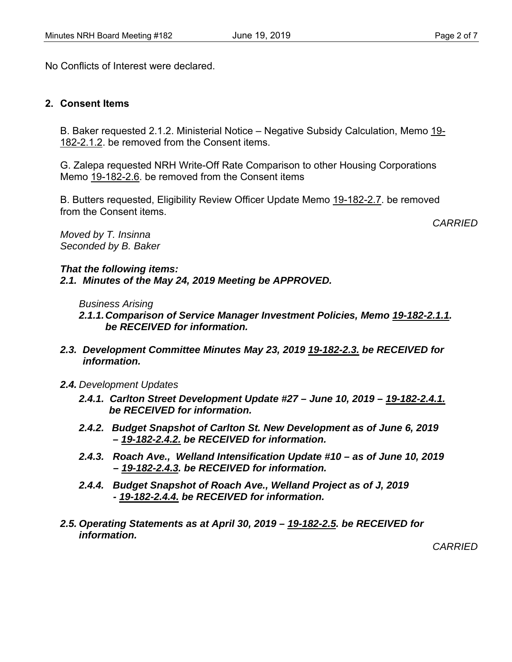No Conflicts of Interest were declared.

#### **2. Consent Items**

B. Baker requested 2.1.2. Ministerial Notice – Negative Subsidy Calculation, Memo 19- 182-2.1.2. be removed from the Consent items.

G. Zalepa requested NRH Write-Off Rate Comparison to other Housing Corporations Memo 19-182-2.6. be removed from the Consent items

B. Butters requested, Eligibility Review Officer Update Memo 19-182-2.7. be removed from the Consent items.

*CARRIED* 

*Moved by T. Insinna Seconded by B. Baker* 

*That the following items: 2.1. Minutes of the May 24, 2019 Meeting be APPROVED.* 

*Business Arising* 

*2.1.1. Comparison of Service Manager Investment Policies, Memo 19-182-2.1.1. be RECEIVED for information.* 

- *2.3. Development Committee Minutes May 23, 2019 19-182-2.3. be RECEIVED for information.*
- *2.4. Development Updates* 
	- *2.4.1. Carlton Street Development Update #27 June 10, 2019 19-182-2.4.1. be RECEIVED for information.*
	- *2.4.2. Budget Snapshot of Carlton St. New Development as of June 6, 2019 – 19-182-2.4.2. be RECEIVED for information.*
	- *2.4.3. Roach Ave., Welland Intensification Update #10 as of June 10, 2019 – 19-182-2.4.3. be RECEIVED for information.*
	- *2.4.4. Budget Snapshot of Roach Ave., Welland Project as of J, 2019 - 19-182-2.4.4. be RECEIVED for information.*
- *2.5. Operating Statements as at April 30, 2019 19-182-2.5. be RECEIVED for information.*

*CARRIED*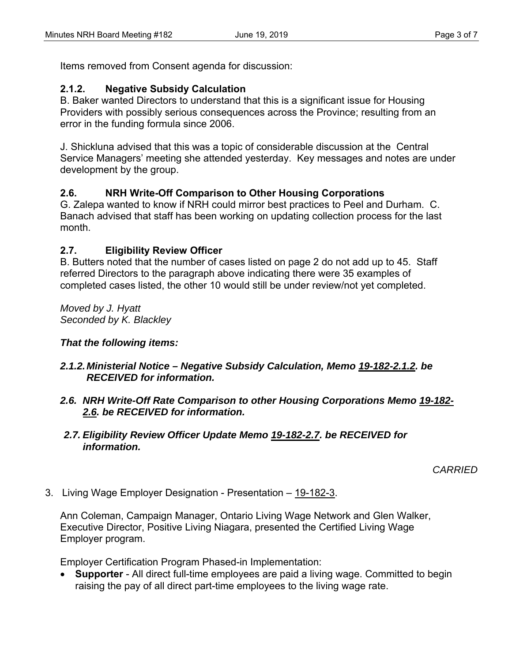Items removed from Consent agenda for discussion:

# **2.1.2. Negative Subsidy Calculation**

B. Baker wanted Directors to understand that this is a significant issue for Housing Providers with possibly serious consequences across the Province; resulting from an error in the funding formula since 2006.

J. Shickluna advised that this was a topic of considerable discussion at the Central Service Managers' meeting she attended yesterday. Key messages and notes are under development by the group.

# **2.6. NRH Write-Off Comparison to Other Housing Corporations**

G. Zalepa wanted to know if NRH could mirror best practices to Peel and Durham. C. Banach advised that staff has been working on updating collection process for the last month.

## **2.7. Eligibility Review Officer**

B. Butters noted that the number of cases listed on page 2 do not add up to 45. Staff referred Directors to the paragraph above indicating there were 35 examples of completed cases listed, the other 10 would still be under review/not yet completed.

*Moved by J. Hyatt Seconded by K. Blackley* 

# *That the following items:*

## *2.1.2. Ministerial Notice – Negative Subsidy Calculation, Memo 19-182-2.1.2. be RECEIVED for information.*

*2.6. NRH Write-Off Rate Comparison to other Housing Corporations Memo 19-182- 2.6. be RECEIVED for information.* 

### *2.7. Eligibility Review Officer Update Memo 19-182-2.7. be RECEIVED for information.*

*CARRIED*

3. Living Wage Employer Designation - Presentation – 19-182-3.

Ann Coleman, Campaign Manager, Ontario Living Wage Network and Glen Walker, Executive Director, Positive Living Niagara, presented the Certified Living Wage Employer program.

Employer Certification Program Phased-in Implementation:

 **Supporter** - All direct full-time employees are paid a living wage. Committed to begin raising the pay of all direct part-time employees to the living wage rate.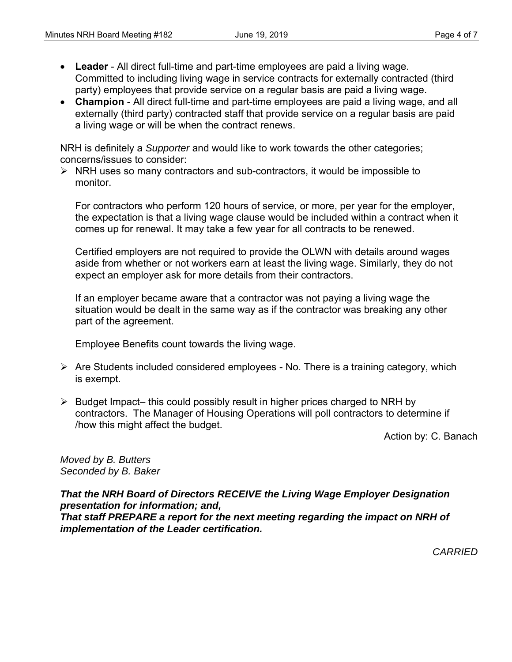- **Leader** All direct full-time and part-time employees are paid a living wage. Committed to including living wage in service contracts for externally contracted (third party) employees that provide service on a regular basis are paid a living wage.
- **Champion** All direct full-time and part-time employees are paid a living wage, and all externally (third party) contracted staff that provide service on a regular basis are paid a living wage or will be when the contract renews.

NRH is definitely a *Supporter* and would like to work towards the other categories; concerns/issues to consider:

 $\triangleright$  NRH uses so many contractors and sub-contractors, it would be impossible to monitor.

For contractors who perform 120 hours of service, or more, per year for the employer, the expectation is that a living wage clause would be included within a contract when it comes up for renewal. It may take a few year for all contracts to be renewed.

Certified employers are not required to provide the OLWN with details around wages aside from whether or not workers earn at least the living wage. Similarly, they do not expect an employer ask for more details from their contractors.

If an employer became aware that a contractor was not paying a living wage the situation would be dealt in the same way as if the contractor was breaking any other part of the agreement.

Employee Benefits count towards the living wage.

- $\triangleright$  Are Students included considered employees No. There is a training category, which is exempt.
- $\triangleright$  Budget Impact– this could possibly result in higher prices charged to NRH by contractors. The Manager of Housing Operations will poll contractors to determine if /how this might affect the budget.

Action by: C. Banach

*Moved by B. Butters Seconded by B. Baker* 

*That the NRH Board of Directors RECEIVE the Living Wage Employer Designation presentation for information; and, That staff PREPARE a report for the next meeting regarding the impact on NRH of implementation of the Leader certification.* 

*CARRIED*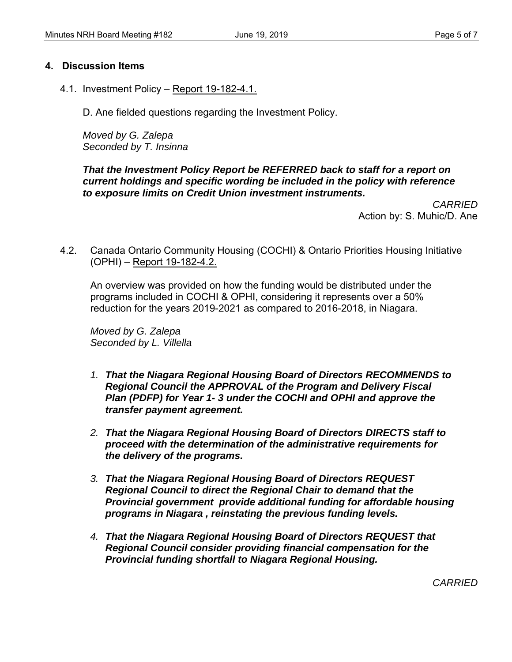### **4. Discussion Items**

4.1. Investment Policy – Report 19-182-4.1.

D. Ane fielded questions regarding the Investment Policy.

*Moved by G. Zalepa Seconded by T. Insinna* 

### *That the Investment Policy Report be REFERRED back to staff for a report on current holdings and specific wording be included in the policy with reference to exposure limits on Credit Union investment instruments.*

*CARRIED*  Action by: S. Muhic/D. Ane

4.2. Canada Ontario Community Housing (COCHI) & Ontario Priorities Housing Initiative (OPHI) – Report 19-182-4.2.

An overview was provided on how the funding would be distributed under the programs included in COCHI & OPHI, considering it represents over a 50% reduction for the years 2019-2021 as compared to 2016-2018, in Niagara.

*Moved by G. Zalepa Seconded by L. Villella* 

- *1. That the Niagara Regional Housing Board of Directors RECOMMENDS to Regional Council the APPROVAL of the Program and Delivery Fiscal Plan (PDFP) for Year 1- 3 under the COCHI and OPHI and approve the transfer payment agreement.*
- *2. That the Niagara Regional Housing Board of Directors DIRECTS staff to proceed with the determination of the administrative requirements for the delivery of the programs.*
- *3. That the Niagara Regional Housing Board of Directors REQUEST Regional Council to direct the Regional Chair to demand that the Provincial government provide additional funding for affordable housing programs in Niagara , reinstating the previous funding levels.*
- *4. That the Niagara Regional Housing Board of Directors REQUEST that Regional Council consider providing financial compensation for the Provincial funding shortfall to Niagara Regional Housing.*

*CARRIED*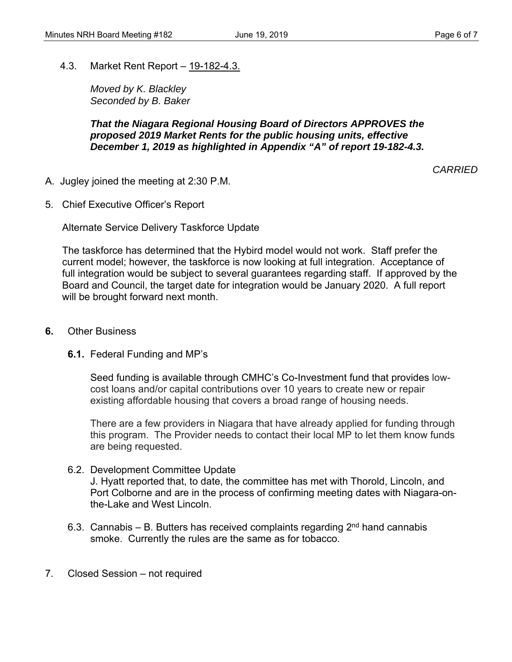4.3. Market Rent Report – 19-182-4.3.

*Moved by K. Blackley Seconded by B. Baker* 

### *That the Niagara Regional Housing Board of Directors APPROVES the proposed 2019 Market Rents for the public housing units, effective December 1, 2019 as highlighted in Appendix "A" of report 19-182-4.3.*

*CARRIED* 

- A. Jugley joined the meeting at 2:30 P.M.
- 5. Chief Executive Officer's Report

Alternate Service Delivery Taskforce Update

The taskforce has determined that the Hybird model would not work. Staff prefer the current model; however, the taskforce is now looking at full integration. Acceptance of full integration would be subject to several guarantees regarding staff. If approved by the Board and Council, the target date for integration would be January 2020. A full report will be brought forward next month.

- **6.** Other Business
	- **6.1.** Federal Funding and MP's

Seed funding is available through CMHC's Co-Investment fund that provides lowcost loans and/or capital contributions over 10 years to create new or repair existing affordable housing that covers a broad range of housing needs.

There are a few providers in Niagara that have already applied for funding through this program. The Provider needs to contact their local MP to let them know funds are being requested.

6.2. Development Committee Update

J. Hyatt reported that, to date, the committee has met with Thorold, Lincoln, and Port Colborne and are in the process of confirming meeting dates with Niagara-onthe-Lake and West Lincoln.

- 6.3. Cannabis  $-$  B. Butters has received complaints regarding  $2<sup>nd</sup>$  hand cannabis smoke. Currently the rules are the same as for tobacco.
- 7. Closed Session not required